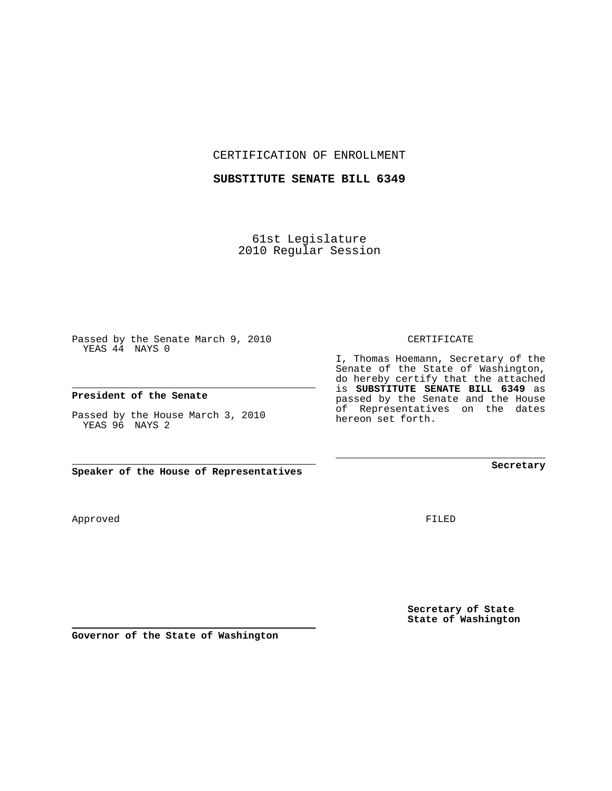CERTIFICATION OF ENROLLMENT

## **SUBSTITUTE SENATE BILL 6349**

61st Legislature 2010 Regular Session

Passed by the Senate March 9, 2010 YEAS 44 NAYS 0

### **President of the Senate**

Passed by the House March 3, 2010 YEAS 96 NAYS 2

**Speaker of the House of Representatives**

Approved

FILED

**Secretary of State State of Washington**

**Governor of the State of Washington**

### CERTIFICATE

I, Thomas Hoemann, Secretary of the Senate of the State of Washington, do hereby certify that the attached is **SUBSTITUTE SENATE BILL 6349** as passed by the Senate and the House of Representatives on the dates hereon set forth.

**Secretary**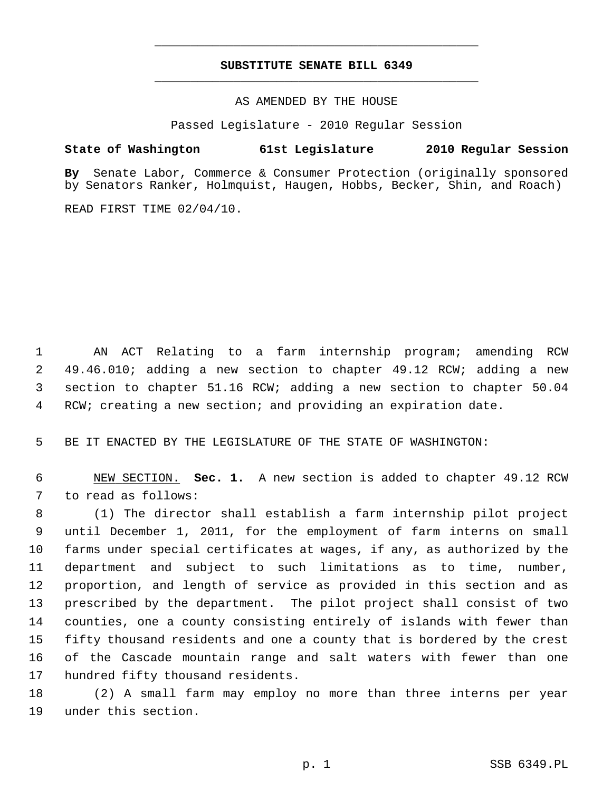# **SUBSTITUTE SENATE BILL 6349** \_\_\_\_\_\_\_\_\_\_\_\_\_\_\_\_\_\_\_\_\_\_\_\_\_\_\_\_\_\_\_\_\_\_\_\_\_\_\_\_\_\_\_\_\_

\_\_\_\_\_\_\_\_\_\_\_\_\_\_\_\_\_\_\_\_\_\_\_\_\_\_\_\_\_\_\_\_\_\_\_\_\_\_\_\_\_\_\_\_\_

## AS AMENDED BY THE HOUSE

Passed Legislature - 2010 Regular Session

## **State of Washington 61st Legislature 2010 Regular Session**

**By** Senate Labor, Commerce & Consumer Protection (originally sponsored by Senators Ranker, Holmquist, Haugen, Hobbs, Becker, Shin, and Roach)

READ FIRST TIME 02/04/10.

 1 AN ACT Relating to a farm internship program; amending RCW 2 49.46.010; adding a new section to chapter 49.12 RCW; adding a new 3 section to chapter 51.16 RCW; adding a new section to chapter 50.04 4 RCW; creating a new section; and providing an expiration date.

5 BE IT ENACTED BY THE LEGISLATURE OF THE STATE OF WASHINGTON:

 6 NEW SECTION. **Sec. 1.** A new section is added to chapter 49.12 RCW 7 to read as follows:

 8 (1) The director shall establish a farm internship pilot project 9 until December 1, 2011, for the employment of farm interns on small 10 farms under special certificates at wages, if any, as authorized by the 11 department and subject to such limitations as to time, number, 12 proportion, and length of service as provided in this section and as 13 prescribed by the department. The pilot project shall consist of two 14 counties, one a county consisting entirely of islands with fewer than 15 fifty thousand residents and one a county that is bordered by the crest 16 of the Cascade mountain range and salt waters with fewer than one 17 hundred fifty thousand residents.

18 (2) A small farm may employ no more than three interns per year 19 under this section.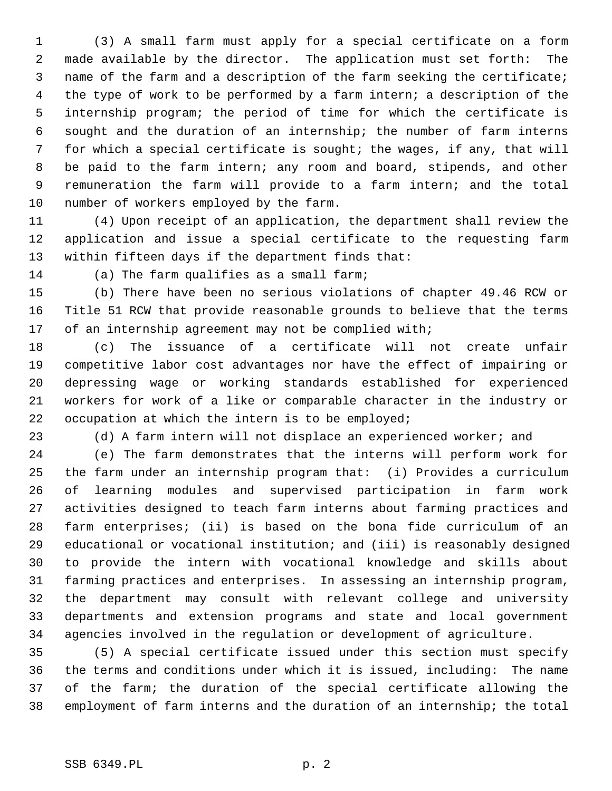1 (3) A small farm must apply for a special certificate on a form 2 made available by the director. The application must set forth: The 3 name of the farm and a description of the farm seeking the certificate; 4 the type of work to be performed by a farm intern; a description of the 5 internship program; the period of time for which the certificate is 6 sought and the duration of an internship; the number of farm interns 7 for which a special certificate is sought; the wages, if any, that will 8 be paid to the farm intern; any room and board, stipends, and other 9 remuneration the farm will provide to a farm intern; and the total 10 number of workers employed by the farm.

11 (4) Upon receipt of an application, the department shall review the 12 application and issue a special certificate to the requesting farm 13 within fifteen days if the department finds that:

14 (a) The farm qualifies as a small farm;

15 (b) There have been no serious violations of chapter 49.46 RCW or 16 Title 51 RCW that provide reasonable grounds to believe that the terms 17 of an internship agreement may not be complied with;

18 (c) The issuance of a certificate will not create unfair 19 competitive labor cost advantages nor have the effect of impairing or 20 depressing wage or working standards established for experienced 21 workers for work of a like or comparable character in the industry or 22 occupation at which the intern is to be employed;

23 (d) A farm intern will not displace an experienced worker; and

24 (e) The farm demonstrates that the interns will perform work for 25 the farm under an internship program that: (i) Provides a curriculum 26 of learning modules and supervised participation in farm work 27 activities designed to teach farm interns about farming practices and 28 farm enterprises; (ii) is based on the bona fide curriculum of an 29 educational or vocational institution; and (iii) is reasonably designed 30 to provide the intern with vocational knowledge and skills about 31 farming practices and enterprises. In assessing an internship program, 32 the department may consult with relevant college and university 33 departments and extension programs and state and local government 34 agencies involved in the regulation or development of agriculture.

35 (5) A special certificate issued under this section must specify 36 the terms and conditions under which it is issued, including: The name 37 of the farm; the duration of the special certificate allowing the 38 employment of farm interns and the duration of an internship; the total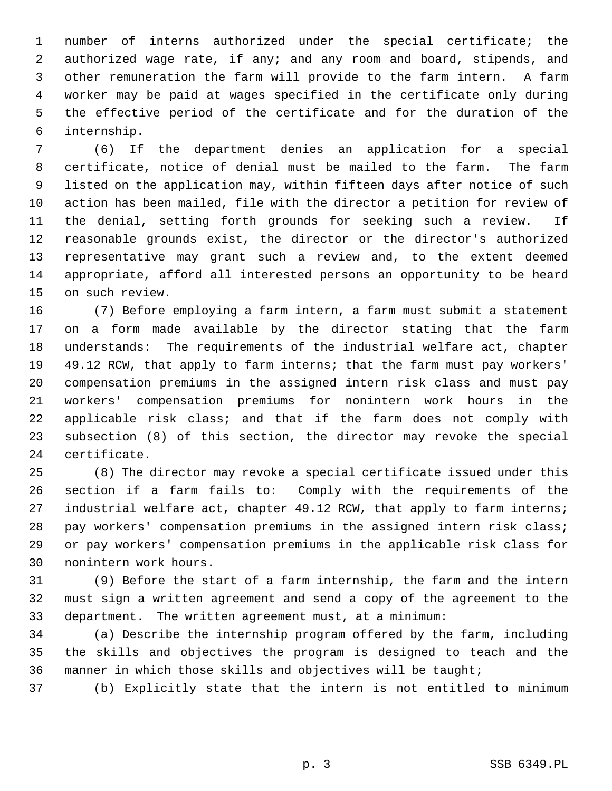1 number of interns authorized under the special certificate; the 2 authorized wage rate, if any; and any room and board, stipends, and 3 other remuneration the farm will provide to the farm intern. A farm 4 worker may be paid at wages specified in the certificate only during 5 the effective period of the certificate and for the duration of the 6 internship.

 7 (6) If the department denies an application for a special 8 certificate, notice of denial must be mailed to the farm. The farm 9 listed on the application may, within fifteen days after notice of such 10 action has been mailed, file with the director a petition for review of 11 the denial, setting forth grounds for seeking such a review. If 12 reasonable grounds exist, the director or the director's authorized 13 representative may grant such a review and, to the extent deemed 14 appropriate, afford all interested persons an opportunity to be heard 15 on such review.

16 (7) Before employing a farm intern, a farm must submit a statement 17 on a form made available by the director stating that the farm 18 understands: The requirements of the industrial welfare act, chapter 19 49.12 RCW, that apply to farm interns; that the farm must pay workers' 20 compensation premiums in the assigned intern risk class and must pay 21 workers' compensation premiums for nonintern work hours in the 22 applicable risk class; and that if the farm does not comply with 23 subsection (8) of this section, the director may revoke the special 24 certificate.

25 (8) The director may revoke a special certificate issued under this 26 section if a farm fails to: Comply with the requirements of the 27 industrial welfare act, chapter 49.12 RCW, that apply to farm interns; 28 pay workers' compensation premiums in the assigned intern risk class; 29 or pay workers' compensation premiums in the applicable risk class for 30 nonintern work hours.

31 (9) Before the start of a farm internship, the farm and the intern 32 must sign a written agreement and send a copy of the agreement to the 33 department. The written agreement must, at a minimum:

34 (a) Describe the internship program offered by the farm, including 35 the skills and objectives the program is designed to teach and the 36 manner in which those skills and objectives will be taught;

37 (b) Explicitly state that the intern is not entitled to minimum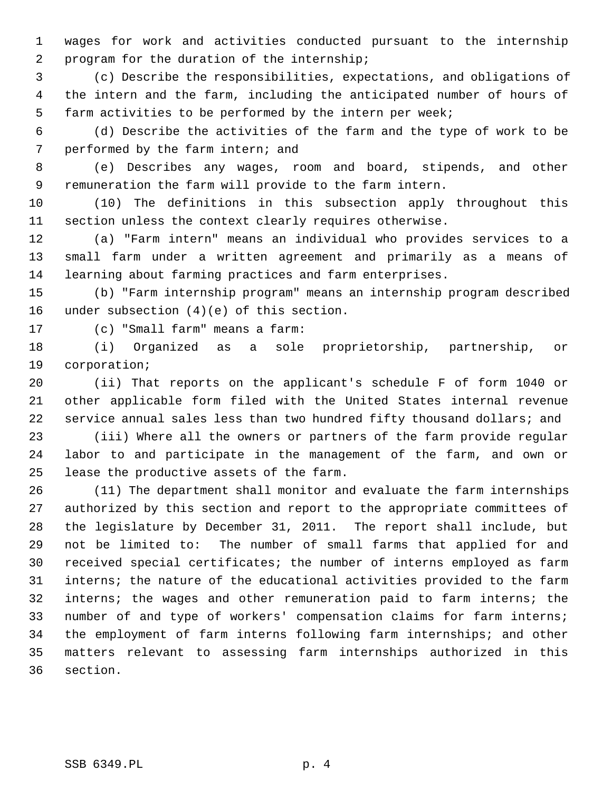1 wages for work and activities conducted pursuant to the internship 2 program for the duration of the internship;

 3 (c) Describe the responsibilities, expectations, and obligations of 4 the intern and the farm, including the anticipated number of hours of 5 farm activities to be performed by the intern per week;

 6 (d) Describe the activities of the farm and the type of work to be 7 performed by the farm intern; and

 8 (e) Describes any wages, room and board, stipends, and other 9 remuneration the farm will provide to the farm intern.

10 (10) The definitions in this subsection apply throughout this 11 section unless the context clearly requires otherwise.

12 (a) "Farm intern" means an individual who provides services to a 13 small farm under a written agreement and primarily as a means of 14 learning about farming practices and farm enterprises.

15 (b) "Farm internship program" means an internship program described 16 under subsection (4)(e) of this section.

17 (c) "Small farm" means a farm:

18 (i) Organized as a sole proprietorship, partnership, or 19 corporation;

20 (ii) That reports on the applicant's schedule F of form 1040 or 21 other applicable form filed with the United States internal revenue 22 service annual sales less than two hundred fifty thousand dollars; and

23 (iii) Where all the owners or partners of the farm provide regular 24 labor to and participate in the management of the farm, and own or 25 lease the productive assets of the farm.

26 (11) The department shall monitor and evaluate the farm internships 27 authorized by this section and report to the appropriate committees of 28 the legislature by December 31, 2011. The report shall include, but 29 not be limited to: The number of small farms that applied for and 30 received special certificates; the number of interns employed as farm 31 interns; the nature of the educational activities provided to the farm 32 interns; the wages and other remuneration paid to farm interns; the 33 number of and type of workers' compensation claims for farm interns; 34 the employment of farm interns following farm internships; and other 35 matters relevant to assessing farm internships authorized in this 36 section.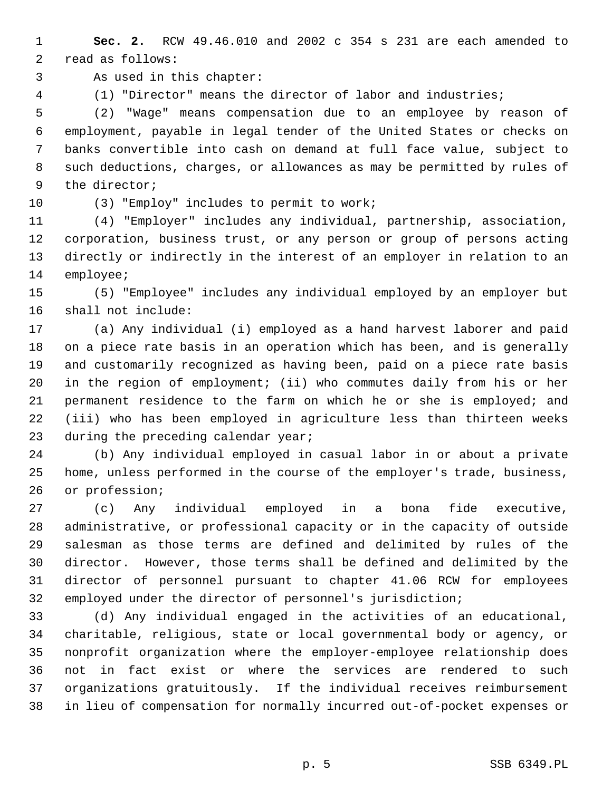1 **Sec. 2.** RCW 49.46.010 and 2002 c 354 s 231 are each amended to 2 read as follows:

3 As used in this chapter:

4 (1) "Director" means the director of labor and industries;

 5 (2) "Wage" means compensation due to an employee by reason of 6 employment, payable in legal tender of the United States or checks on 7 banks convertible into cash on demand at full face value, subject to 8 such deductions, charges, or allowances as may be permitted by rules of 9 the director;

10 (3) "Employ" includes to permit to work;

11 (4) "Employer" includes any individual, partnership, association, 12 corporation, business trust, or any person or group of persons acting 13 directly or indirectly in the interest of an employer in relation to an 14 employee;

15 (5) "Employee" includes any individual employed by an employer but 16 shall not include:

17 (a) Any individual (i) employed as a hand harvest laborer and paid 18 on a piece rate basis in an operation which has been, and is generally 19 and customarily recognized as having been, paid on a piece rate basis 20 in the region of employment; (ii) who commutes daily from his or her 21 permanent residence to the farm on which he or she is employed; and 22 (iii) who has been employed in agriculture less than thirteen weeks 23 during the preceding calendar year;

24 (b) Any individual employed in casual labor in or about a private 25 home, unless performed in the course of the employer's trade, business, 26 or profession;

27 (c) Any individual employed in a bona fide executive, 28 administrative, or professional capacity or in the capacity of outside 29 salesman as those terms are defined and delimited by rules of the 30 director. However, those terms shall be defined and delimited by the 31 director of personnel pursuant to chapter 41.06 RCW for employees 32 employed under the director of personnel's jurisdiction;

33 (d) Any individual engaged in the activities of an educational, 34 charitable, religious, state or local governmental body or agency, or 35 nonprofit organization where the employer-employee relationship does 36 not in fact exist or where the services are rendered to such 37 organizations gratuitously. If the individual receives reimbursement 38 in lieu of compensation for normally incurred out-of-pocket expenses or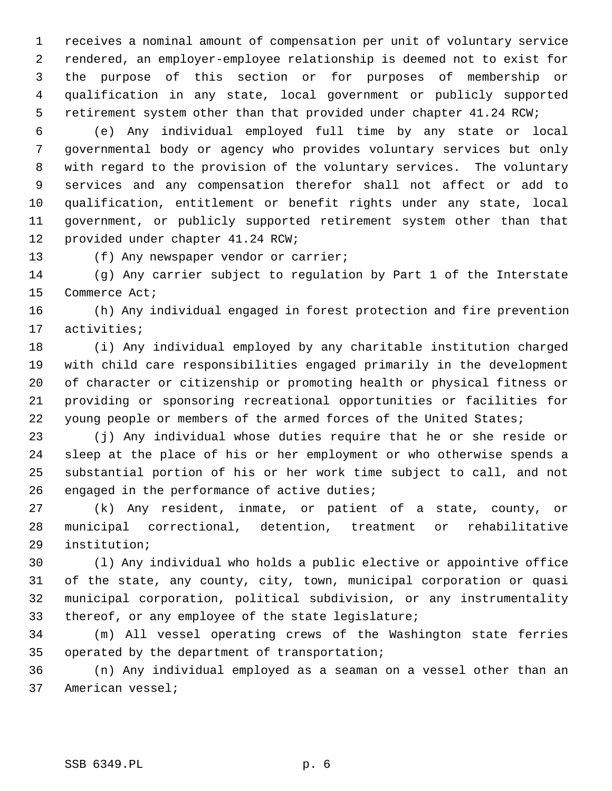1 receives a nominal amount of compensation per unit of voluntary service 2 rendered, an employer-employee relationship is deemed not to exist for 3 the purpose of this section or for purposes of membership or 4 qualification in any state, local government or publicly supported 5 retirement system other than that provided under chapter 41.24 RCW;

 6 (e) Any individual employed full time by any state or local 7 governmental body or agency who provides voluntary services but only 8 with regard to the provision of the voluntary services. The voluntary 9 services and any compensation therefor shall not affect or add to 10 qualification, entitlement or benefit rights under any state, local 11 government, or publicly supported retirement system other than that 12 provided under chapter 41.24 RCW;

13 (f) Any newspaper vendor or carrier;

14 (g) Any carrier subject to regulation by Part 1 of the Interstate 15 Commerce Act;

16 (h) Any individual engaged in forest protection and fire prevention 17 activities;

18 (i) Any individual employed by any charitable institution charged 19 with child care responsibilities engaged primarily in the development 20 of character or citizenship or promoting health or physical fitness or 21 providing or sponsoring recreational opportunities or facilities for 22 young people or members of the armed forces of the United States;

23 (j) Any individual whose duties require that he or she reside or 24 sleep at the place of his or her employment or who otherwise spends a 25 substantial portion of his or her work time subject to call, and not 26 engaged in the performance of active duties;

27 (k) Any resident, inmate, or patient of a state, county, or 28 municipal correctional, detention, treatment or rehabilitative 29 institution;

30 (l) Any individual who holds a public elective or appointive office 31 of the state, any county, city, town, municipal corporation or quasi 32 municipal corporation, political subdivision, or any instrumentality 33 thereof, or any employee of the state legislature;

34 (m) All vessel operating crews of the Washington state ferries 35 operated by the department of transportation;

36 (n) Any individual employed as a seaman on a vessel other than an 37 American vessel;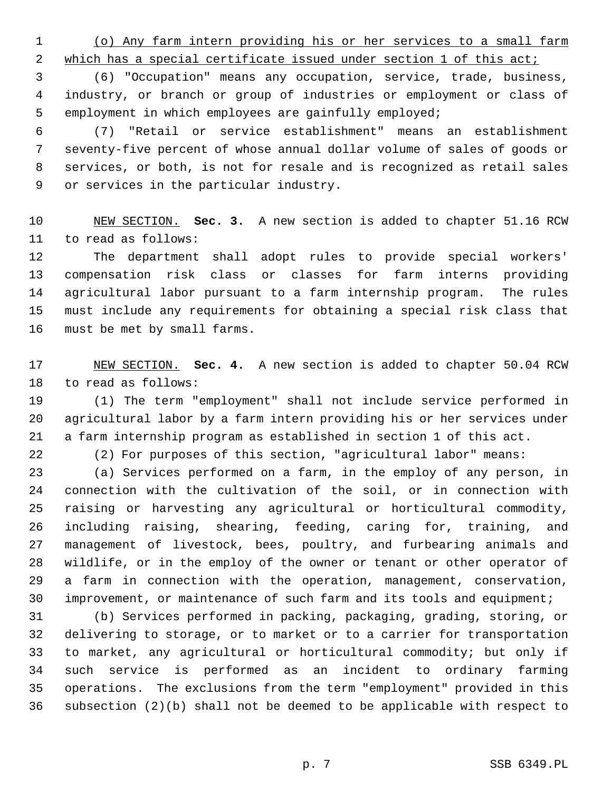1 (o) Any farm intern providing his or her services to a small farm

2 which has a special certificate issued under section 1 of this act;

 3 (6) "Occupation" means any occupation, service, trade, business, 4 industry, or branch or group of industries or employment or class of 5 employment in which employees are gainfully employed;

 6 (7) "Retail or service establishment" means an establishment 7 seventy-five percent of whose annual dollar volume of sales of goods or 8 services, or both, is not for resale and is recognized as retail sales 9 or services in the particular industry.

10 NEW SECTION. **Sec. 3.** A new section is added to chapter 51.16 RCW 11 to read as follows:

12 The department shall adopt rules to provide special workers' 13 compensation risk class or classes for farm interns providing 14 agricultural labor pursuant to a farm internship program. The rules 15 must include any requirements for obtaining a special risk class that 16 must be met by small farms.

17 NEW SECTION. **Sec. 4.** A new section is added to chapter 50.04 RCW 18 to read as follows:

19 (1) The term "employment" shall not include service performed in 20 agricultural labor by a farm intern providing his or her services under 21 a farm internship program as established in section 1 of this act.

22 (2) For purposes of this section, "agricultural labor" means:

23 (a) Services performed on a farm, in the employ of any person, in 24 connection with the cultivation of the soil, or in connection with 25 raising or harvesting any agricultural or horticultural commodity, 26 including raising, shearing, feeding, caring for, training, and 27 management of livestock, bees, poultry, and furbearing animals and 28 wildlife, or in the employ of the owner or tenant or other operator of 29 a farm in connection with the operation, management, conservation, 30 improvement, or maintenance of such farm and its tools and equipment;

31 (b) Services performed in packing, packaging, grading, storing, or 32 delivering to storage, or to market or to a carrier for transportation 33 to market, any agricultural or horticultural commodity; but only if 34 such service is performed as an incident to ordinary farming 35 operations. The exclusions from the term "employment" provided in this 36 subsection (2)(b) shall not be deemed to be applicable with respect to